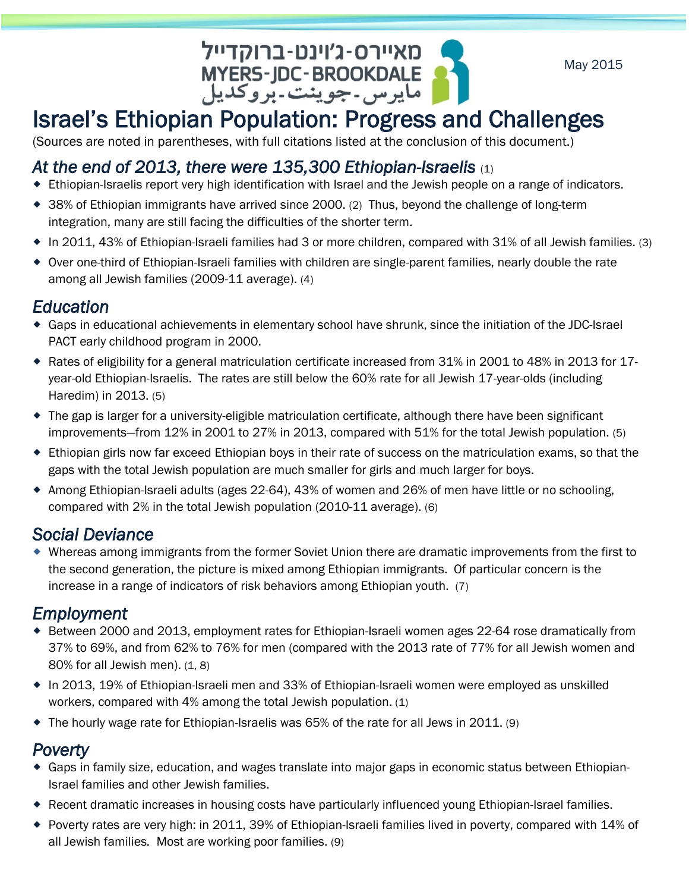GRIPH - CHITTEL CHITTEL AND - CHITTEL MARRE MARRE MARRE MARRE MARRE MARRE MARRE MARRE MARRE MARREN MARREN MER<br>Internal of Markel's Ethiopian Population: Progress and Challenges

May 2015

(Sources are noted in parentheses, with full citations listed at the conclusion of this document.)

## *At the end of 2013, there were 135,300 Ethiopian-Israelis* (1)

- Ethiopian-Israelis report very high identification with Israel and the Jewish people on a range of indicators.
- 38% of Ethiopian immigrants have arrived since 2000. (2) Thus, beyond the challenge of long-term integration, many are still facing the difficulties of the shorter term.
- In 2011, 43% of Ethiopian-Israeli families had 3 or more children, compared with 31% of all Jewish families. (3)
- Over one-third of Ethiopian-Israeli families with children are single-parent families, nearly double the rate among all Jewish families (2009-11 average). (4)

## *Education*

- Gaps in educational achievements in elementary school have shrunk, since the initiation of the JDC-Israel PACT early childhood program in 2000.
- Rates of eligibility for a general matriculation certificate increased from 31% in 2001 to 48% in 2013 for 17 year-old Ethiopian-Israelis. The rates are still below the 60% rate for all Jewish 17-year-olds (including Haredim) in 2013. (5)
- The gap is larger for a university-eligible matriculation certificate, although there have been significant improvements—from 12% in 2001 to 27% in 2013, compared with 51% for the total Jewish population. (5)
- Ethiopian girls now far exceed Ethiopian boys in their rate of success on the matriculation exams, so that the gaps with the total Jewish population are much smaller for girls and much larger for boys.
- Among Ethiopian-Israeli adults (ages 22-64), 43% of women and 26% of men have little or no schooling, compared with 2% in the total Jewish population (2010-11 average). (6)

# *Social Deviance*

 Whereas among immigrants from the former Soviet Union there are dramatic improvements from the first to the second generation, the picture is mixed among Ethiopian immigrants. Of particular concern is the increase in a range of indicators of risk behaviors among Ethiopian youth. (7)

## *Employment*

- Between 2000 and 2013, employment rates for Ethiopian-Israeli women ages 22-64 rose dramatically from 37% to 69%, and from 62% to 76% for men (compared with the 2013 rate of 77% for all Jewish women and  $80\%$  for all Jewish men).  $(1, 8)$
- In 2013, 19% of Ethiopian-Israeli men and 33% of Ethiopian-Israeli women were employed as unskilled workers, compared with 4% among the total Jewish population. (1)
- $\bullet$  The hourly wage rate for Ethiopian-Israelis was 65% of the rate for all Jews in 2011. (9)

## *Poverty*

- Gaps in family size, education, and wages translate into major gaps in economic status between Ethiopian-Israel families and other Jewish families.
- Recent dramatic increases in housing costs have particularly influenced young Ethiopian-Israel families.
- Poverty rates are very high: in 2011, 39% of Ethiopian-Israeli families lived in poverty, compared with 14% of all Jewish families*.* Most are working poor families. (9)